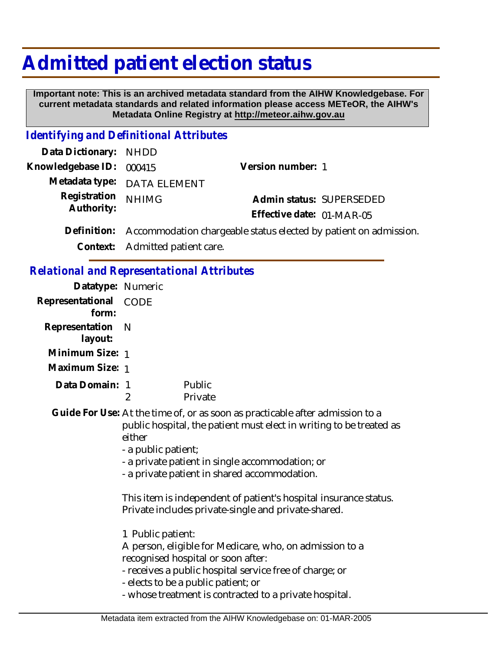## **Admitted patient election status**

 **Important note: This is an archived metadata standard from the AIHW Knowledgebase. For current metadata standards and related information please access METeOR, the AIHW's Metadata Online Registry at http://meteor.aihw.gov.au**

## *Identifying and Definitional Attributes*

| Data Dictionary: NHDD    |                                                                              |                           |  |
|--------------------------|------------------------------------------------------------------------------|---------------------------|--|
| Knowledgebase ID: 000415 |                                                                              | Version number: 1         |  |
|                          | Metadata type: DATA ELEMENT                                                  |                           |  |
| Registration NHIMG       |                                                                              | Admin status: SUPERSEDED  |  |
| Authority:               |                                                                              | Effective date: 01-MAR-05 |  |
|                          | Definition: Accommodation chargeable status elected by patient on admission. |                           |  |

**Context:** Admitted patient care.

## *Relational and Representational Attributes*

| Datatype: Numeric              |                                                                                                                                                                                                                                                                                                                                                                                                                                                                                                                                                                                                                                                                                                       |                   |
|--------------------------------|-------------------------------------------------------------------------------------------------------------------------------------------------------------------------------------------------------------------------------------------------------------------------------------------------------------------------------------------------------------------------------------------------------------------------------------------------------------------------------------------------------------------------------------------------------------------------------------------------------------------------------------------------------------------------------------------------------|-------------------|
| Representational CODE<br>form: |                                                                                                                                                                                                                                                                                                                                                                                                                                                                                                                                                                                                                                                                                                       |                   |
| Representation<br>layout:      | - N                                                                                                                                                                                                                                                                                                                                                                                                                                                                                                                                                                                                                                                                                                   |                   |
| Minimum Size: 1                |                                                                                                                                                                                                                                                                                                                                                                                                                                                                                                                                                                                                                                                                                                       |                   |
| Maximum Size: 1                |                                                                                                                                                                                                                                                                                                                                                                                                                                                                                                                                                                                                                                                                                                       |                   |
| Data Domain: 1                 | 2                                                                                                                                                                                                                                                                                                                                                                                                                                                                                                                                                                                                                                                                                                     | Public<br>Private |
|                                | Guide For Use: At the time of, or as soon as practicable after admission to a<br>public hospital, the patient must elect in writing to be treated as<br>either<br>- a public patient;<br>- a private patient in single accommodation; or<br>- a private patient in shared accommodation.<br>This item is independent of patient's hospital insurance status.<br>Private includes private-single and private-shared.<br>1 Public patient:<br>A person, eligible for Medicare, who, on admission to a<br>recognised hospital or soon after:<br>- receives a public hospital service free of charge; or<br>- elects to be a public patient; or<br>- whose treatment is contracted to a private hospital. |                   |
|                                |                                                                                                                                                                                                                                                                                                                                                                                                                                                                                                                                                                                                                                                                                                       |                   |